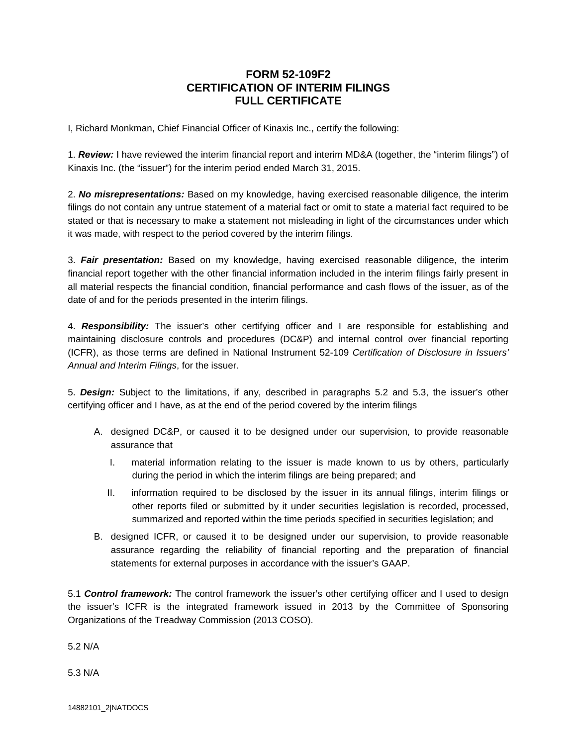## **FORM 52-109F2 CERTIFICATION OF INTERIM FILINGS FULL CERTIFICATE**

I, Richard Monkman, Chief Financial Officer of Kinaxis Inc., certify the following:

1. *Review:* I have reviewed the interim financial report and interim MD&A (together, the "interim filings") of Kinaxis Inc. (the "issuer") for the interim period ended March 31, 2015.

2. *No misrepresentations:* Based on my knowledge, having exercised reasonable diligence, the interim filings do not contain any untrue statement of a material fact or omit to state a material fact required to be stated or that is necessary to make a statement not misleading in light of the circumstances under which it was made, with respect to the period covered by the interim filings.

3. *Fair presentation:* Based on my knowledge, having exercised reasonable diligence, the interim financial report together with the other financial information included in the interim filings fairly present in all material respects the financial condition, financial performance and cash flows of the issuer, as of the date of and for the periods presented in the interim filings.

4. *Responsibility:* The issuer's other certifying officer and I are responsible for establishing and maintaining disclosure controls and procedures (DC&P) and internal control over financial reporting (ICFR), as those terms are defined in National Instrument 52-109 *Certification of Disclosure in Issuers' Annual and Interim Filings*, for the issuer.

5. *Design:* Subject to the limitations, if any, described in paragraphs 5.2 and 5.3, the issuer's other certifying officer and I have, as at the end of the period covered by the interim filings

- A. designed DC&P, or caused it to be designed under our supervision, to provide reasonable assurance that
	- I. material information relating to the issuer is made known to us by others, particularly during the period in which the interim filings are being prepared; and
	- II. information required to be disclosed by the issuer in its annual filings, interim filings or other reports filed or submitted by it under securities legislation is recorded, processed, summarized and reported within the time periods specified in securities legislation; and
- B. designed ICFR, or caused it to be designed under our supervision, to provide reasonable assurance regarding the reliability of financial reporting and the preparation of financial statements for external purposes in accordance with the issuer's GAAP.

5.1 *Control framework:* The control framework the issuer's other certifying officer and I used to design the issuer's ICFR is the integrated framework issued in 2013 by the Committee of Sponsoring Organizations of the Treadway Commission (2013 COSO).

5.2 N/A

5.3 N/A